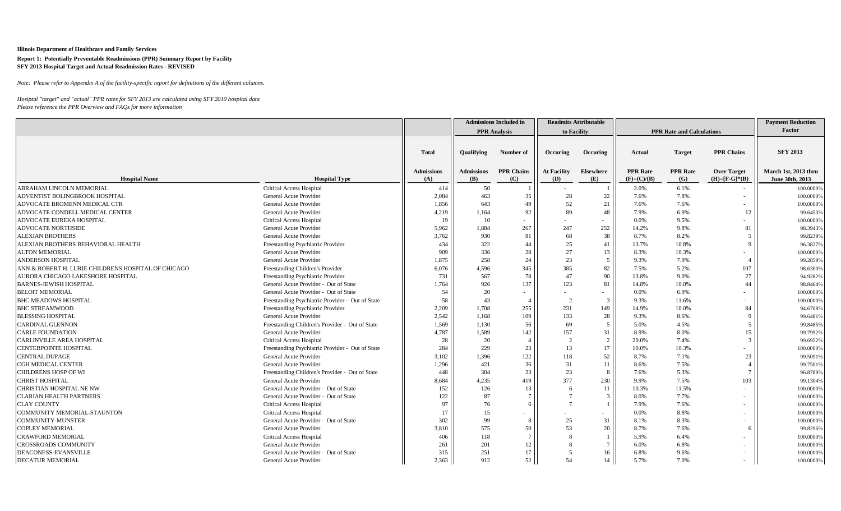*Note: Please refer to Appendix A of the facility-specific report for definitions of the different columns.*

|                                                     |                                                  |                   |                   | <b>Admissions Included in</b> |                    | <b>Readmits Attributable</b> |                 |                                  |                     | <b>Payment Reduction</b> |
|-----------------------------------------------------|--------------------------------------------------|-------------------|-------------------|-------------------------------|--------------------|------------------------------|-----------------|----------------------------------|---------------------|--------------------------|
|                                                     |                                                  |                   |                   | <b>PPR</b> Analysis           |                    | to Facility                  |                 | <b>PPR Rate and Calculations</b> |                     | Factor                   |
|                                                     |                                                  |                   |                   |                               |                    |                              |                 |                                  |                     |                          |
|                                                     |                                                  | <b>Total</b>      | <b>Oualifying</b> | Number of                     | Occuring           | Occuring                     | Actual          | <b>Target</b>                    | <b>PPR Chains</b>   | <b>SFY 2013</b>          |
|                                                     |                                                  | <b>Admissions</b> | <b>Admissions</b> | <b>PPR Chains</b>             | <b>At Facility</b> | Elsewhere                    | <b>PPR</b> Rate | <b>PPR</b> Rate                  | <b>Over Target</b>  | March 1st, 2013 thru     |
| <b>Hospital Name</b>                                | <b>Hospital Type</b>                             | (A)               | (B)               | (C)                           | (D)                | (E)                          | $(F)=(C)/(B)$   | (G)                              | $(H)= [F-G]^{*}(B)$ | June 30th, 2013          |
| ABRAHAM LINCOLN MEMORIAL                            | <b>Critical Access Hospital</b>                  | 414               | 50                |                               |                    |                              | 2.0%            | 6.1%                             |                     | 100.0000%                |
| ADVENTIST BOLINGBROOK HOSPITAL                      | General Acute Provider                           | 2,084             | 463               | 35                            | 28                 | 22                           | 7.6%            | 7.8%                             |                     | 100.0000%                |
| ADVOCATE BROMENN MEDICAL CTR                        | General Acute Provider                           | 1,856             | 643               | 49                            | 52                 | 21                           | 7.6%            | 7.6%                             |                     | 100.0000%                |
| ADVOCATE CONDELL MEDICAL CENTER                     | General Acute Provider                           | 4,219             | 1,164             | 92                            | 89                 | 48                           | 7.9%            | 6.9%                             | 12                  | 99.6453%                 |
| ADVOCATE EUREKA HOSPITAL                            | <b>Critical Access Hospital</b>                  | 19                | 10                |                               |                    | $\sim$                       | 0.0%            | 9.5%                             |                     | 100.0000%                |
| ADVOCATE NORTHSIDE                                  | General Acute Provider                           | 5,962             | 1,884             | 267                           | 247                | 252                          | 14.2%           | 9.8%                             | 81                  | 98.3943%                 |
| <b>ALEXIAN BROTHERS</b>                             | General Acute Provider                           | 3,762             | 930               | 81                            | 68                 | 38                           | 8.7%            | 8.2%                             | .5                  | 99.8239%                 |
| ALEXIAN BROTHERS BEHAVIORAL HEALTH                  | Freestanding Psychiatric Provider                | 434               | 322               | 44                            | 25                 | 41                           | 13.7%           | 10.8%                            | 9                   | 96.3827%                 |
| <b>ALTON MEMORIAL</b>                               | General Acute Provider                           | 909               | 336               | 28                            | 27                 | 13                           | 8.3%            | 10.3%                            |                     | 100.0000%                |
| <b>ANDERSON HOSPITAL</b>                            | General Acute Provider                           | 1,875             | 258               | 24                            | 23                 | 5                            | 9.3%            | 7.9%                             |                     | 99.2859%                 |
| ANN & ROBERT H. LURIE CHILDRENS HOSPITAL OF CHICAGO | Freestanding Children's Provider                 | 6,076             | 4,596             | 345                           | 385                | 82                           | 7.5%            | 5.2%                             | 107                 | 98.6300%                 |
| AURORA CHICAGO LAKESHORE HOSPITAL                   | Freestanding Psychiatric Provider                | 731               | 567               | 78                            | 47                 | 90                           | 13.8%           | 9.0%                             | 27                  | 94.9282%                 |
| <b>BARNES-JEWISH HOSPITAL</b>                       | General Acute Provider - Out of State            | 1,764             | 926               | 137                           | 123                | 81                           | 14.8%           | 10.0%                            | 44                  | 98.8464%                 |
| <b>BELOIT MEMORIAL</b>                              | General Acute Provider - Out of State            | 54                | 20                |                               |                    |                              | 0.0%            | 6.9%                             |                     | 100.0000%                |
| <b>BHC MEADOWS HOSPITAL</b>                         | Freestanding Psychiatric Provider - Out of State | 58                | 43                | $\overline{4}$                | $\overline{2}$     | $\overline{3}$               | 9.3%            | 11.6%                            |                     | 100.0000%                |
| <b>BHC STREAMWOOD</b>                               | Freestanding Psychiatric Provider                | 2,209             | 1.708             | 255                           | 231                | 149                          | 14.9%           | 10.0%                            | 84                  | 94.6708%                 |
| <b>BLESSING HOSPITAL</b>                            | General Acute Provider                           | 2,542             | 1,168             | 109                           | 133                | 28                           | 9.3%            | 8.6%                             | 9                   | 99.6481%                 |
| <b>CARDINAL GLENNON</b>                             | Freestanding Children's Provider - Out of State  | 1,569             | 1,130             | 56                            | 69                 | 5                            | 5.0%            | 4.5%                             | .5                  | 99.8485%                 |
| <b>CARLE FOUNDATION</b>                             | General Acute Provider                           | 4,787             | 1,589             | 142                           | 157                | 31                           | 8.9%            | 8.0%                             | 15                  | 99.7992%                 |
| CARLINVILLE AREA HOSPITAL                           | <b>Critical Access Hospital</b>                  | 28                | 20                | $\overline{4}$                | 2                  | 2                            | 20.0%           | 7.4%                             | 3                   | 99.6952%                 |
| <b>CENTERPOINTE HOSPITAL</b>                        | Freestanding Psychiatric Provider - Out of State | 284               | 229               | 23                            | 13                 | 17                           | 10.0%           | 10.3%                            |                     | 100.0000%                |
| <b>CENTRAL DUPAGE</b>                               | General Acute Provider                           | 3,102             | 1,396             | 122                           | 118                | 52                           | 8.7%            | 7.1%                             | 23                  | 99.5091%                 |
| <b>CGH MEDICAL CENTER</b>                           | General Acute Provider                           | 1,296             | 421               | 36                            | 31                 | 11                           | 8.6%            | 7.5%                             |                     | 99.7501%                 |
| <b>CHILDRENS HOSP OF WI</b>                         | Freestanding Children's Provider - Out of State  | 448               | 304               | 23                            | 23                 | 8                            | 7.6%            | 5.3%                             |                     | 96.8789%                 |
| <b>CHRIST HOSPITAL</b>                              | General Acute Provider                           | 8,684             | 4.235             | 419                           | 377                | 230                          | 9.9%            | 7.5%                             | 103                 | 99.1304%                 |
| CHRISTIAN HOSPITAL NE NW                            | General Acute Provider - Out of State            | 152               | 126               | 13                            | 6                  | 11                           | 10.3%           | 11.5%                            |                     | 100.0000%                |
| <b>CLARIAN HEALTH PARTNERS</b>                      | General Acute Provider - Out of State            | 122               | 87                | $\overline{7}$                |                    | $\mathcal{R}$                | 8.0%            | 7.7%                             |                     | 100.0000%                |
| <b>CLAY COUNTY</b>                                  | <b>Critical Access Hospital</b>                  | 97                | 76                | -6                            |                    |                              | 7.9%            | 7.6%                             |                     | 100.0000%                |
| COMMUNITY MEMORIAL-STAUNTON                         | <b>Critical Access Hospital</b>                  | 17                | 15                |                               |                    | $\overline{\phantom{a}}$     | 0.0%            | 8.8%                             |                     | 100.0000%                |
| <b>COMMUNITY-MUNSTER</b>                            | General Acute Provider - Out of State            | 302               | 99                | 8                             | 25                 | 31                           | 8.1%            | 8.3%                             |                     | 100.0000%                |
| <b>COPLEY MEMORIAL</b>                              | General Acute Provider                           | 3,810             | 575               | 50                            | 53                 | 20                           | 8.7%            | 7.6%                             | 6                   | 99.8296%                 |
| <b>CRAWFORD MEMORIAL</b>                            | <b>Critical Access Hospital</b>                  | 406               | 118               |                               |                    |                              | 5.9%            | 6.4%                             |                     | 100.0000%                |
| <b>CROSSROADS COMMUNITY</b>                         | General Acute Provider                           | 261               | 201               | 12                            |                    |                              | 6.0%            | 6.8%                             |                     | 100.0000%                |
| DEACONESS-EVANSVILLE                                | General Acute Provider - Out of State            | 315               | 251               | 17                            |                    |                              | 6.8%            | 9.6%                             |                     | 100.0000%                |
| <b>DECATUR MEMORIAL</b>                             | General Acute Provider                           | 2,363             | 912               | 52                            | 54                 | 14                           | 5.7%            | 7.0%                             |                     | 100.0000%                |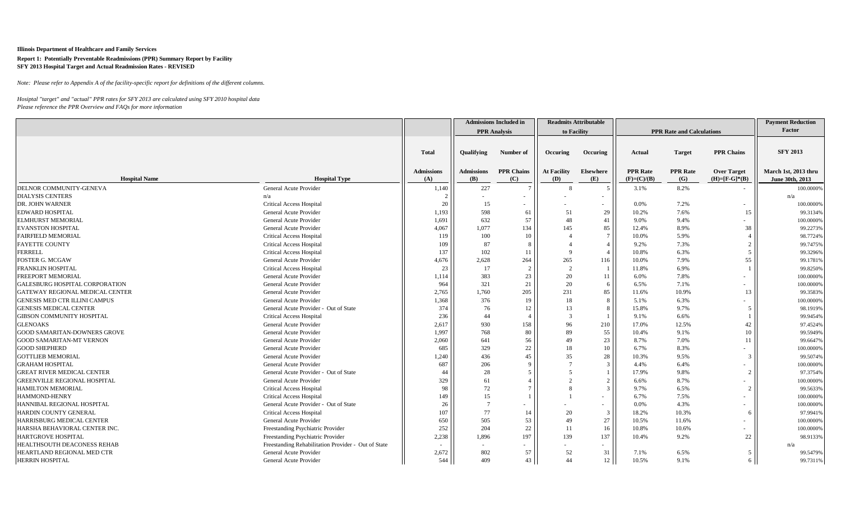*Note: Please refer to Appendix A of the facility-specific report for definitions of the different columns.*

| Factor<br><b>PPR</b> Analysis<br>to Facility<br><b>PPR Rate and Calculations</b><br><b>SFY 2013</b><br><b>PPR Chains</b><br><b>Total</b><br><b>Qualifying</b><br>Number of<br>Occuring<br>Occuring<br><b>Actual</b><br><b>Target</b><br>March 1st, 2013 thru<br><b>PPR Chains</b><br><b>At Facility</b><br><b>PPR</b> Rate<br><b>PPR</b> Rate<br><b>Admissions</b><br><b>Admissions</b><br><b>Elsewhere</b><br><b>Over Target</b><br>(A)<br>(B)<br><b>Hospital Name</b><br><b>Hospital Type</b><br>(C)<br>(D)<br>$(F)=(C)/(B)$<br>(G)<br>$(H) = [F - G]^{*}(B)$<br>June 30th, 2013<br>(E)<br>8.2%<br>DELNOR COMMUNITY-GENEVA<br>General Acute Provider<br>227<br>1,140<br>3.1%<br>100.0000%<br>8<br><b>DIALYSIS CENTERS</b><br>n/a<br>n/a<br>DR. JOHN WARNER<br>20<br>15<br>7.2%<br><b>Critical Access Hospital</b><br>0.0%<br>100.0000%<br>$\overline{\phantom{a}}$<br>29<br><b>EDWARD HOSPITAL</b><br>1,193<br>598<br>51<br>10.2%<br>7.6%<br>General Acute Provider<br>61<br>15<br>99.3134%<br>General Acute Provider<br>632<br>57<br>48<br>41<br>9.4%<br><b>ELMHURST MEMORIAL</b><br>1,691<br>9.0%<br>100.0000%<br><b>EVANSTON HOSPITAL</b><br>General Acute Provider<br>4,067<br>85<br>12.4%<br>8.9%<br>99.2273%<br>1.077<br>134<br>145<br>38<br><b>FAIRFIELD MEMORIAL</b><br>100<br>10.0%<br>5.9%<br><b>Critical Access Hospital</b><br>119<br>10<br>98.7724%<br>87<br><b>FAYETTE COUNTY</b><br>9.2%<br>7.3%<br><b>Critical Access Hospital</b><br>109<br>2<br>99.7475%<br>137<br>102<br>6.3%<br><b>FERRELL</b><br><b>Critical Access Hospital</b><br>10.8%<br>5<br>11<br>99.3296%<br>265<br>55<br><b>FOSTER G. MCGAW</b><br>4,676<br>2,628<br>264<br>10.0%<br>7.9%<br>General Acute Provider<br>116<br>99.1781%<br>23<br>FRANKLIN HOSPITAL<br>17<br>11.8%<br>6.9%<br><b>Critical Access Hospital</b><br>99.8250%<br>FREEPORT MEMORIAL<br>General Acute Provider<br>383<br>23<br>20<br>7.8%<br>1,114<br>11<br>6.0%<br>100.0000%<br>21<br>20<br>GALESBURG HOSPITAL CORPORATION<br>General Acute Provider<br>964<br>321<br>6.5%<br>7.1%<br>100.0000%<br>6<br>231<br>GATEWAY REGIONAL MEDICAL CENTER<br>General Acute Provider<br>2,765<br>1,760<br>205<br>85<br>11.6%<br>10.9%<br>99.3583%<br>13<br>GENESIS MED CTR ILLINI CAMPUS<br>General Acute Provider<br>1,368<br>376<br>18<br>8<br>6.3%<br>19<br>5.1%<br>100.0000%<br>9.7%<br><b>GENESIS MEDICAL CENTER</b><br>General Acute Provider - Out of State<br>374<br>76<br>13<br>15.8%<br>98.1919%<br>12<br>8<br>5<br>44<br>6.6%<br>GIBSON COMMUNITY HOSPITAL<br>236<br>$\mathcal{R}$<br>9.1%<br><b>Critical Access Hospital</b><br>99.9454%<br>96<br>12.5%<br>42<br><b>GLENOAKS</b><br>General Acute Provider<br>2,617<br>930<br>210<br>17.0%<br>158<br>97.4524%<br>89<br>55<br><b>GOOD SAMARITAN-DOWNERS GROVE</b><br>General Acute Provider<br>1,997<br>768<br>80<br>10.4%<br>9.1%<br>10<br>99.5949%<br>23<br><b>GOOD SAMARITAN-MT VERNON</b><br>General Acute Provider<br>2,060<br>641<br>56<br>49<br>8.7%<br>7.0%<br>99.6647%<br>11<br><b>GOOD SHEPHERD</b><br>329<br>22<br>8.3%<br>General Acute Provider<br>685<br>18<br>6.7%<br>10<br>100.0000%<br>35<br>28<br><b>GOTTLIEB MEMORIAL</b><br>General Acute Provider<br>1,240<br>436<br>45<br>10.3%<br>9.5%<br>3<br>99.5074% |  |  | <b>Admissions Included in</b> | <b>Readmits Attributable</b> |  |  | <b>Payment Reduction</b> |  |
|---------------------------------------------------------------------------------------------------------------------------------------------------------------------------------------------------------------------------------------------------------------------------------------------------------------------------------------------------------------------------------------------------------------------------------------------------------------------------------------------------------------------------------------------------------------------------------------------------------------------------------------------------------------------------------------------------------------------------------------------------------------------------------------------------------------------------------------------------------------------------------------------------------------------------------------------------------------------------------------------------------------------------------------------------------------------------------------------------------------------------------------------------------------------------------------------------------------------------------------------------------------------------------------------------------------------------------------------------------------------------------------------------------------------------------------------------------------------------------------------------------------------------------------------------------------------------------------------------------------------------------------------------------------------------------------------------------------------------------------------------------------------------------------------------------------------------------------------------------------------------------------------------------------------------------------------------------------------------------------------------------------------------------------------------------------------------------------------------------------------------------------------------------------------------------------------------------------------------------------------------------------------------------------------------------------------------------------------------------------------------------------------------------------------------------------------------------------------------------------------------------------------------------------------------------------------------------------------------------------------------------------------------------------------------------------------------------------------------------------------------------------------------------------------------------------------------------------------------------------------------------------------------------------------------------------------------------------------------------------------------------------------------------------------------------------------------------------------------------------------------------------------------------------------------------------------------------------------------------------|--|--|-------------------------------|------------------------------|--|--|--------------------------|--|
|                                                                                                                                                                                                                                                                                                                                                                                                                                                                                                                                                                                                                                                                                                                                                                                                                                                                                                                                                                                                                                                                                                                                                                                                                                                                                                                                                                                                                                                                                                                                                                                                                                                                                                                                                                                                                                                                                                                                                                                                                                                                                                                                                                                                                                                                                                                                                                                                                                                                                                                                                                                                                                                                                                                                                                                                                                                                                                                                                                                                                                                                                                                                                                                                                                       |  |  |                               |                              |  |  |                          |  |
|                                                                                                                                                                                                                                                                                                                                                                                                                                                                                                                                                                                                                                                                                                                                                                                                                                                                                                                                                                                                                                                                                                                                                                                                                                                                                                                                                                                                                                                                                                                                                                                                                                                                                                                                                                                                                                                                                                                                                                                                                                                                                                                                                                                                                                                                                                                                                                                                                                                                                                                                                                                                                                                                                                                                                                                                                                                                                                                                                                                                                                                                                                                                                                                                                                       |  |  |                               |                              |  |  |                          |  |
|                                                                                                                                                                                                                                                                                                                                                                                                                                                                                                                                                                                                                                                                                                                                                                                                                                                                                                                                                                                                                                                                                                                                                                                                                                                                                                                                                                                                                                                                                                                                                                                                                                                                                                                                                                                                                                                                                                                                                                                                                                                                                                                                                                                                                                                                                                                                                                                                                                                                                                                                                                                                                                                                                                                                                                                                                                                                                                                                                                                                                                                                                                                                                                                                                                       |  |  |                               |                              |  |  |                          |  |
|                                                                                                                                                                                                                                                                                                                                                                                                                                                                                                                                                                                                                                                                                                                                                                                                                                                                                                                                                                                                                                                                                                                                                                                                                                                                                                                                                                                                                                                                                                                                                                                                                                                                                                                                                                                                                                                                                                                                                                                                                                                                                                                                                                                                                                                                                                                                                                                                                                                                                                                                                                                                                                                                                                                                                                                                                                                                                                                                                                                                                                                                                                                                                                                                                                       |  |  |                               |                              |  |  |                          |  |
|                                                                                                                                                                                                                                                                                                                                                                                                                                                                                                                                                                                                                                                                                                                                                                                                                                                                                                                                                                                                                                                                                                                                                                                                                                                                                                                                                                                                                                                                                                                                                                                                                                                                                                                                                                                                                                                                                                                                                                                                                                                                                                                                                                                                                                                                                                                                                                                                                                                                                                                                                                                                                                                                                                                                                                                                                                                                                                                                                                                                                                                                                                                                                                                                                                       |  |  |                               |                              |  |  |                          |  |
|                                                                                                                                                                                                                                                                                                                                                                                                                                                                                                                                                                                                                                                                                                                                                                                                                                                                                                                                                                                                                                                                                                                                                                                                                                                                                                                                                                                                                                                                                                                                                                                                                                                                                                                                                                                                                                                                                                                                                                                                                                                                                                                                                                                                                                                                                                                                                                                                                                                                                                                                                                                                                                                                                                                                                                                                                                                                                                                                                                                                                                                                                                                                                                                                                                       |  |  |                               |                              |  |  |                          |  |
|                                                                                                                                                                                                                                                                                                                                                                                                                                                                                                                                                                                                                                                                                                                                                                                                                                                                                                                                                                                                                                                                                                                                                                                                                                                                                                                                                                                                                                                                                                                                                                                                                                                                                                                                                                                                                                                                                                                                                                                                                                                                                                                                                                                                                                                                                                                                                                                                                                                                                                                                                                                                                                                                                                                                                                                                                                                                                                                                                                                                                                                                                                                                                                                                                                       |  |  |                               |                              |  |  |                          |  |
|                                                                                                                                                                                                                                                                                                                                                                                                                                                                                                                                                                                                                                                                                                                                                                                                                                                                                                                                                                                                                                                                                                                                                                                                                                                                                                                                                                                                                                                                                                                                                                                                                                                                                                                                                                                                                                                                                                                                                                                                                                                                                                                                                                                                                                                                                                                                                                                                                                                                                                                                                                                                                                                                                                                                                                                                                                                                                                                                                                                                                                                                                                                                                                                                                                       |  |  |                               |                              |  |  |                          |  |
|                                                                                                                                                                                                                                                                                                                                                                                                                                                                                                                                                                                                                                                                                                                                                                                                                                                                                                                                                                                                                                                                                                                                                                                                                                                                                                                                                                                                                                                                                                                                                                                                                                                                                                                                                                                                                                                                                                                                                                                                                                                                                                                                                                                                                                                                                                                                                                                                                                                                                                                                                                                                                                                                                                                                                                                                                                                                                                                                                                                                                                                                                                                                                                                                                                       |  |  |                               |                              |  |  |                          |  |
|                                                                                                                                                                                                                                                                                                                                                                                                                                                                                                                                                                                                                                                                                                                                                                                                                                                                                                                                                                                                                                                                                                                                                                                                                                                                                                                                                                                                                                                                                                                                                                                                                                                                                                                                                                                                                                                                                                                                                                                                                                                                                                                                                                                                                                                                                                                                                                                                                                                                                                                                                                                                                                                                                                                                                                                                                                                                                                                                                                                                                                                                                                                                                                                                                                       |  |  |                               |                              |  |  |                          |  |
|                                                                                                                                                                                                                                                                                                                                                                                                                                                                                                                                                                                                                                                                                                                                                                                                                                                                                                                                                                                                                                                                                                                                                                                                                                                                                                                                                                                                                                                                                                                                                                                                                                                                                                                                                                                                                                                                                                                                                                                                                                                                                                                                                                                                                                                                                                                                                                                                                                                                                                                                                                                                                                                                                                                                                                                                                                                                                                                                                                                                                                                                                                                                                                                                                                       |  |  |                               |                              |  |  |                          |  |
|                                                                                                                                                                                                                                                                                                                                                                                                                                                                                                                                                                                                                                                                                                                                                                                                                                                                                                                                                                                                                                                                                                                                                                                                                                                                                                                                                                                                                                                                                                                                                                                                                                                                                                                                                                                                                                                                                                                                                                                                                                                                                                                                                                                                                                                                                                                                                                                                                                                                                                                                                                                                                                                                                                                                                                                                                                                                                                                                                                                                                                                                                                                                                                                                                                       |  |  |                               |                              |  |  |                          |  |
|                                                                                                                                                                                                                                                                                                                                                                                                                                                                                                                                                                                                                                                                                                                                                                                                                                                                                                                                                                                                                                                                                                                                                                                                                                                                                                                                                                                                                                                                                                                                                                                                                                                                                                                                                                                                                                                                                                                                                                                                                                                                                                                                                                                                                                                                                                                                                                                                                                                                                                                                                                                                                                                                                                                                                                                                                                                                                                                                                                                                                                                                                                                                                                                                                                       |  |  |                               |                              |  |  |                          |  |
|                                                                                                                                                                                                                                                                                                                                                                                                                                                                                                                                                                                                                                                                                                                                                                                                                                                                                                                                                                                                                                                                                                                                                                                                                                                                                                                                                                                                                                                                                                                                                                                                                                                                                                                                                                                                                                                                                                                                                                                                                                                                                                                                                                                                                                                                                                                                                                                                                                                                                                                                                                                                                                                                                                                                                                                                                                                                                                                                                                                                                                                                                                                                                                                                                                       |  |  |                               |                              |  |  |                          |  |
|                                                                                                                                                                                                                                                                                                                                                                                                                                                                                                                                                                                                                                                                                                                                                                                                                                                                                                                                                                                                                                                                                                                                                                                                                                                                                                                                                                                                                                                                                                                                                                                                                                                                                                                                                                                                                                                                                                                                                                                                                                                                                                                                                                                                                                                                                                                                                                                                                                                                                                                                                                                                                                                                                                                                                                                                                                                                                                                                                                                                                                                                                                                                                                                                                                       |  |  |                               |                              |  |  |                          |  |
|                                                                                                                                                                                                                                                                                                                                                                                                                                                                                                                                                                                                                                                                                                                                                                                                                                                                                                                                                                                                                                                                                                                                                                                                                                                                                                                                                                                                                                                                                                                                                                                                                                                                                                                                                                                                                                                                                                                                                                                                                                                                                                                                                                                                                                                                                                                                                                                                                                                                                                                                                                                                                                                                                                                                                                                                                                                                                                                                                                                                                                                                                                                                                                                                                                       |  |  |                               |                              |  |  |                          |  |
|                                                                                                                                                                                                                                                                                                                                                                                                                                                                                                                                                                                                                                                                                                                                                                                                                                                                                                                                                                                                                                                                                                                                                                                                                                                                                                                                                                                                                                                                                                                                                                                                                                                                                                                                                                                                                                                                                                                                                                                                                                                                                                                                                                                                                                                                                                                                                                                                                                                                                                                                                                                                                                                                                                                                                                                                                                                                                                                                                                                                                                                                                                                                                                                                                                       |  |  |                               |                              |  |  |                          |  |
|                                                                                                                                                                                                                                                                                                                                                                                                                                                                                                                                                                                                                                                                                                                                                                                                                                                                                                                                                                                                                                                                                                                                                                                                                                                                                                                                                                                                                                                                                                                                                                                                                                                                                                                                                                                                                                                                                                                                                                                                                                                                                                                                                                                                                                                                                                                                                                                                                                                                                                                                                                                                                                                                                                                                                                                                                                                                                                                                                                                                                                                                                                                                                                                                                                       |  |  |                               |                              |  |  |                          |  |
|                                                                                                                                                                                                                                                                                                                                                                                                                                                                                                                                                                                                                                                                                                                                                                                                                                                                                                                                                                                                                                                                                                                                                                                                                                                                                                                                                                                                                                                                                                                                                                                                                                                                                                                                                                                                                                                                                                                                                                                                                                                                                                                                                                                                                                                                                                                                                                                                                                                                                                                                                                                                                                                                                                                                                                                                                                                                                                                                                                                                                                                                                                                                                                                                                                       |  |  |                               |                              |  |  |                          |  |
|                                                                                                                                                                                                                                                                                                                                                                                                                                                                                                                                                                                                                                                                                                                                                                                                                                                                                                                                                                                                                                                                                                                                                                                                                                                                                                                                                                                                                                                                                                                                                                                                                                                                                                                                                                                                                                                                                                                                                                                                                                                                                                                                                                                                                                                                                                                                                                                                                                                                                                                                                                                                                                                                                                                                                                                                                                                                                                                                                                                                                                                                                                                                                                                                                                       |  |  |                               |                              |  |  |                          |  |
|                                                                                                                                                                                                                                                                                                                                                                                                                                                                                                                                                                                                                                                                                                                                                                                                                                                                                                                                                                                                                                                                                                                                                                                                                                                                                                                                                                                                                                                                                                                                                                                                                                                                                                                                                                                                                                                                                                                                                                                                                                                                                                                                                                                                                                                                                                                                                                                                                                                                                                                                                                                                                                                                                                                                                                                                                                                                                                                                                                                                                                                                                                                                                                                                                                       |  |  |                               |                              |  |  |                          |  |
|                                                                                                                                                                                                                                                                                                                                                                                                                                                                                                                                                                                                                                                                                                                                                                                                                                                                                                                                                                                                                                                                                                                                                                                                                                                                                                                                                                                                                                                                                                                                                                                                                                                                                                                                                                                                                                                                                                                                                                                                                                                                                                                                                                                                                                                                                                                                                                                                                                                                                                                                                                                                                                                                                                                                                                                                                                                                                                                                                                                                                                                                                                                                                                                                                                       |  |  |                               |                              |  |  |                          |  |
|                                                                                                                                                                                                                                                                                                                                                                                                                                                                                                                                                                                                                                                                                                                                                                                                                                                                                                                                                                                                                                                                                                                                                                                                                                                                                                                                                                                                                                                                                                                                                                                                                                                                                                                                                                                                                                                                                                                                                                                                                                                                                                                                                                                                                                                                                                                                                                                                                                                                                                                                                                                                                                                                                                                                                                                                                                                                                                                                                                                                                                                                                                                                                                                                                                       |  |  |                               |                              |  |  |                          |  |
|                                                                                                                                                                                                                                                                                                                                                                                                                                                                                                                                                                                                                                                                                                                                                                                                                                                                                                                                                                                                                                                                                                                                                                                                                                                                                                                                                                                                                                                                                                                                                                                                                                                                                                                                                                                                                                                                                                                                                                                                                                                                                                                                                                                                                                                                                                                                                                                                                                                                                                                                                                                                                                                                                                                                                                                                                                                                                                                                                                                                                                                                                                                                                                                                                                       |  |  |                               |                              |  |  |                          |  |
|                                                                                                                                                                                                                                                                                                                                                                                                                                                                                                                                                                                                                                                                                                                                                                                                                                                                                                                                                                                                                                                                                                                                                                                                                                                                                                                                                                                                                                                                                                                                                                                                                                                                                                                                                                                                                                                                                                                                                                                                                                                                                                                                                                                                                                                                                                                                                                                                                                                                                                                                                                                                                                                                                                                                                                                                                                                                                                                                                                                                                                                                                                                                                                                                                                       |  |  |                               |                              |  |  |                          |  |
|                                                                                                                                                                                                                                                                                                                                                                                                                                                                                                                                                                                                                                                                                                                                                                                                                                                                                                                                                                                                                                                                                                                                                                                                                                                                                                                                                                                                                                                                                                                                                                                                                                                                                                                                                                                                                                                                                                                                                                                                                                                                                                                                                                                                                                                                                                                                                                                                                                                                                                                                                                                                                                                                                                                                                                                                                                                                                                                                                                                                                                                                                                                                                                                                                                       |  |  |                               |                              |  |  |                          |  |
|                                                                                                                                                                                                                                                                                                                                                                                                                                                                                                                                                                                                                                                                                                                                                                                                                                                                                                                                                                                                                                                                                                                                                                                                                                                                                                                                                                                                                                                                                                                                                                                                                                                                                                                                                                                                                                                                                                                                                                                                                                                                                                                                                                                                                                                                                                                                                                                                                                                                                                                                                                                                                                                                                                                                                                                                                                                                                                                                                                                                                                                                                                                                                                                                                                       |  |  |                               |                              |  |  |                          |  |
|                                                                                                                                                                                                                                                                                                                                                                                                                                                                                                                                                                                                                                                                                                                                                                                                                                                                                                                                                                                                                                                                                                                                                                                                                                                                                                                                                                                                                                                                                                                                                                                                                                                                                                                                                                                                                                                                                                                                                                                                                                                                                                                                                                                                                                                                                                                                                                                                                                                                                                                                                                                                                                                                                                                                                                                                                                                                                                                                                                                                                                                                                                                                                                                                                                       |  |  |                               |                              |  |  |                          |  |
| <b>GRAHAM HOSPITAL</b><br>General Acute Provider<br>687<br>206<br>4.4%<br>6.4%<br>100.0000%<br>$\mathbf Q$<br>3                                                                                                                                                                                                                                                                                                                                                                                                                                                                                                                                                                                                                                                                                                                                                                                                                                                                                                                                                                                                                                                                                                                                                                                                                                                                                                                                                                                                                                                                                                                                                                                                                                                                                                                                                                                                                                                                                                                                                                                                                                                                                                                                                                                                                                                                                                                                                                                                                                                                                                                                                                                                                                                                                                                                                                                                                                                                                                                                                                                                                                                                                                                       |  |  |                               |                              |  |  |                          |  |
| 28<br><b>GREAT RIVER MEDICAL CENTER</b><br>General Acute Provider - Out of State<br>44<br>17.9%<br>9.8%<br>2<br>97.3754%                                                                                                                                                                                                                                                                                                                                                                                                                                                                                                                                                                                                                                                                                                                                                                                                                                                                                                                                                                                                                                                                                                                                                                                                                                                                                                                                                                                                                                                                                                                                                                                                                                                                                                                                                                                                                                                                                                                                                                                                                                                                                                                                                                                                                                                                                                                                                                                                                                                                                                                                                                                                                                                                                                                                                                                                                                                                                                                                                                                                                                                                                                              |  |  |                               |                              |  |  |                          |  |
| 8.7%<br><b>GREENVILLE REGIONAL HOSPITAL</b><br>General Acute Provider<br>329<br>61<br>$\overline{2}$<br>6.6%<br>100.0000%                                                                                                                                                                                                                                                                                                                                                                                                                                                                                                                                                                                                                                                                                                                                                                                                                                                                                                                                                                                                                                                                                                                                                                                                                                                                                                                                                                                                                                                                                                                                                                                                                                                                                                                                                                                                                                                                                                                                                                                                                                                                                                                                                                                                                                                                                                                                                                                                                                                                                                                                                                                                                                                                                                                                                                                                                                                                                                                                                                                                                                                                                                             |  |  |                               |                              |  |  |                          |  |
| 72<br>98<br>HAMILTON MEMORIAL<br><b>Critical Access Hospital</b><br>$\mathcal{R}$<br>9.7%<br>6.5%<br>2<br>99.5633%                                                                                                                                                                                                                                                                                                                                                                                                                                                                                                                                                                                                                                                                                                                                                                                                                                                                                                                                                                                                                                                                                                                                                                                                                                                                                                                                                                                                                                                                                                                                                                                                                                                                                                                                                                                                                                                                                                                                                                                                                                                                                                                                                                                                                                                                                                                                                                                                                                                                                                                                                                                                                                                                                                                                                                                                                                                                                                                                                                                                                                                                                                                    |  |  |                               |                              |  |  |                          |  |
| 15<br>7.5%<br>HAMMOND-HENRY<br><b>Critical Access Hospital</b><br>149<br>6.7%<br>100.0000%<br>$\blacksquare$                                                                                                                                                                                                                                                                                                                                                                                                                                                                                                                                                                                                                                                                                                                                                                                                                                                                                                                                                                                                                                                                                                                                                                                                                                                                                                                                                                                                                                                                                                                                                                                                                                                                                                                                                                                                                                                                                                                                                                                                                                                                                                                                                                                                                                                                                                                                                                                                                                                                                                                                                                                                                                                                                                                                                                                                                                                                                                                                                                                                                                                                                                                          |  |  |                               |                              |  |  |                          |  |
| 4.3%<br>HANNIBAL REGIONAL HOSPITAL<br>General Acute Provider - Out of State<br>26<br>$\mathcal{I}$<br>0.0%<br>100.0000%<br>$\sim$                                                                                                                                                                                                                                                                                                                                                                                                                                                                                                                                                                                                                                                                                                                                                                                                                                                                                                                                                                                                                                                                                                                                                                                                                                                                                                                                                                                                                                                                                                                                                                                                                                                                                                                                                                                                                                                                                                                                                                                                                                                                                                                                                                                                                                                                                                                                                                                                                                                                                                                                                                                                                                                                                                                                                                                                                                                                                                                                                                                                                                                                                                     |  |  |                               |                              |  |  |                          |  |
| 107<br>77<br>20<br>10.3%<br>HARDIN COUNTY GENERAL<br><b>Critical Access Hospital</b><br>14<br>3<br>18.2%<br>97.9941%<br>-6                                                                                                                                                                                                                                                                                                                                                                                                                                                                                                                                                                                                                                                                                                                                                                                                                                                                                                                                                                                                                                                                                                                                                                                                                                                                                                                                                                                                                                                                                                                                                                                                                                                                                                                                                                                                                                                                                                                                                                                                                                                                                                                                                                                                                                                                                                                                                                                                                                                                                                                                                                                                                                                                                                                                                                                                                                                                                                                                                                                                                                                                                                            |  |  |                               |                              |  |  |                          |  |
| 505<br>49<br>27<br>HARRISBURG MEDICAL CENTER<br>General Acute Provider<br>650<br>53<br>10.5%<br>11.6%<br>100.0000%                                                                                                                                                                                                                                                                                                                                                                                                                                                                                                                                                                                                                                                                                                                                                                                                                                                                                                                                                                                                                                                                                                                                                                                                                                                                                                                                                                                                                                                                                                                                                                                                                                                                                                                                                                                                                                                                                                                                                                                                                                                                                                                                                                                                                                                                                                                                                                                                                                                                                                                                                                                                                                                                                                                                                                                                                                                                                                                                                                                                                                                                                                                    |  |  |                               |                              |  |  |                          |  |
| 252<br>204<br>22<br>10.8%<br>HARSHA BEHAVIORAL CENTER INC.<br>Freestanding Psychiatric Provider<br>11<br>16<br>10.6%<br>100.0000%                                                                                                                                                                                                                                                                                                                                                                                                                                                                                                                                                                                                                                                                                                                                                                                                                                                                                                                                                                                                                                                                                                                                                                                                                                                                                                                                                                                                                                                                                                                                                                                                                                                                                                                                                                                                                                                                                                                                                                                                                                                                                                                                                                                                                                                                                                                                                                                                                                                                                                                                                                                                                                                                                                                                                                                                                                                                                                                                                                                                                                                                                                     |  |  |                               |                              |  |  |                          |  |
| HARTGROVE HOSPITAL<br>1,896<br>139<br>137<br>9.2%<br>Freestanding Psychiatric Provider<br>2,238<br>197<br>10.4%<br>22<br>98.9133%                                                                                                                                                                                                                                                                                                                                                                                                                                                                                                                                                                                                                                                                                                                                                                                                                                                                                                                                                                                                                                                                                                                                                                                                                                                                                                                                                                                                                                                                                                                                                                                                                                                                                                                                                                                                                                                                                                                                                                                                                                                                                                                                                                                                                                                                                                                                                                                                                                                                                                                                                                                                                                                                                                                                                                                                                                                                                                                                                                                                                                                                                                     |  |  |                               |                              |  |  |                          |  |
| HEALTHSOUTH DEACONESS REHAB<br>Freestanding Rehabilitation Provider - Out of State<br>n/a<br>$\sim$<br>$\sim$<br>$\sim$                                                                                                                                                                                                                                                                                                                                                                                                                                                                                                                                                                                                                                                                                                                                                                                                                                                                                                                                                                                                                                                                                                                                                                                                                                                                                                                                                                                                                                                                                                                                                                                                                                                                                                                                                                                                                                                                                                                                                                                                                                                                                                                                                                                                                                                                                                                                                                                                                                                                                                                                                                                                                                                                                                                                                                                                                                                                                                                                                                                                                                                                                                               |  |  |                               |                              |  |  |                          |  |
| 802<br>57<br>52<br>HEARTLAND REGIONAL MED CTR<br>General Acute Provider<br>2,672<br>31<br>7.1%<br>6.5%<br>99.5479%<br>5                                                                                                                                                                                                                                                                                                                                                                                                                                                                                                                                                                                                                                                                                                                                                                                                                                                                                                                                                                                                                                                                                                                                                                                                                                                                                                                                                                                                                                                                                                                                                                                                                                                                                                                                                                                                                                                                                                                                                                                                                                                                                                                                                                                                                                                                                                                                                                                                                                                                                                                                                                                                                                                                                                                                                                                                                                                                                                                                                                                                                                                                                                               |  |  |                               |                              |  |  |                          |  |
| 44<br>544<br>409<br>43<br>12 <sup>1</sup><br><b>HERRIN HOSPITAL</b><br>General Acute Provider<br>10.5%<br>9.1%<br>6<br>99.7311%                                                                                                                                                                                                                                                                                                                                                                                                                                                                                                                                                                                                                                                                                                                                                                                                                                                                                                                                                                                                                                                                                                                                                                                                                                                                                                                                                                                                                                                                                                                                                                                                                                                                                                                                                                                                                                                                                                                                                                                                                                                                                                                                                                                                                                                                                                                                                                                                                                                                                                                                                                                                                                                                                                                                                                                                                                                                                                                                                                                                                                                                                                       |  |  |                               |                              |  |  |                          |  |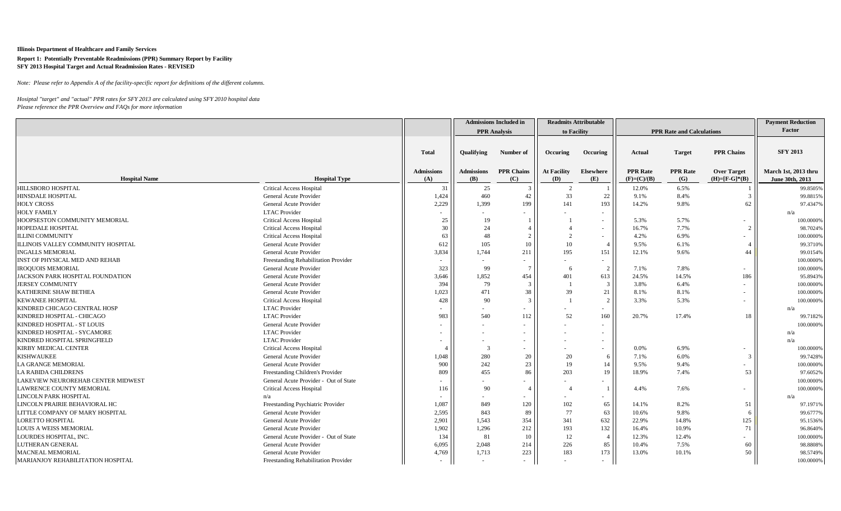*Note: Please refer to Appendix A of the facility-specific report for definitions of the different columns.*

|                                    |                                       |                   |                   | <b>Admissions Included in</b> |                    | <b>Readmits Attributable</b> |                 |                                  |                     | <b>Payment Reduction</b> |
|------------------------------------|---------------------------------------|-------------------|-------------------|-------------------------------|--------------------|------------------------------|-----------------|----------------------------------|---------------------|--------------------------|
|                                    |                                       |                   |                   | <b>PPR</b> Analysis           |                    | to Facility                  |                 | <b>PPR Rate and Calculations</b> |                     | Factor                   |
|                                    |                                       |                   |                   |                               |                    |                              |                 |                                  |                     |                          |
|                                    |                                       | <b>Total</b>      | <b>Oualifying</b> | Number of                     | Occuring           | Occuring                     | Actual          | <b>Target</b>                    | <b>PPR Chains</b>   | <b>SFY 2013</b>          |
|                                    |                                       | <b>Admissions</b> | <b>Admissions</b> | <b>PPR Chains</b>             | <b>At Facility</b> | Elsewhere                    | <b>PPR</b> Rate | <b>PPR</b> Rate                  | <b>Over Target</b>  | March 1st, 2013 thru     |
| <b>Hospital Name</b>               | <b>Hospital Type</b>                  | (A)               | (B)               | (C)                           | (D)                | (E)                          | $(F)=(C)/(B)$   | (G)                              | $(H)= [F-G]^{*}(B)$ | June 30th, 2013          |
| HILLSBORO HOSPITAL                 | <b>Critical Access Hospital</b>       | 31                | 25                |                               | 2                  |                              | 12.0%           | 6.5%                             |                     | 99.8505%                 |
| <b>HINSDALE HOSPITAL</b>           | General Acute Provider                | 1,424             | 460               | 42                            | 33                 | 22                           | 9.1%            | 8.4%                             | 3                   | 99.8815%                 |
| <b>HOLY CROSS</b>                  | General Acute Provider                | 2,229             | 1,399             | 199                           | 141                | 193                          | 14.2%           | 9.8%                             | 62                  | 97.4347%                 |
| <b>HOLY FAMILY</b>                 | <b>LTAC</b> Provider                  |                   |                   |                               |                    | $\sim$                       |                 |                                  |                     | n/z                      |
| HOOPSESTON COMMUNITY MEMORIAL      | <b>Critical Access Hospital</b>       | 25                | 19                |                               |                    | $\sim$                       | 5.3%            | 5.7%                             |                     | 100.0000%                |
| HOPEDALE HOSPITAL                  | <b>Critical Access Hospital</b>       | 30                | 24                |                               |                    | $\sim$                       | 16.7%           | 7.7%                             |                     | 98.7024%                 |
| <b>ILLINI COMMUNITY</b>            | Critical Access Hospital              | 63                | 48                | 2                             | $\overline{2}$     | $\sim$                       | 4.2%            | 6.9%                             |                     | 100.0000%                |
| ILLINOIS VALLEY COMMUNITY HOSPITAL | General Acute Provider                | 612               | 105               | 10                            | 10                 |                              | 9.5%            | 6.1%                             |                     | 99.3710%                 |
| <b>INGALLS MEMORIAL</b>            | General Acute Provider                | 3,834             | 1,744             | 211                           | 195                | 151                          | 12.1%           | 9.6%                             | 44                  | 99.0154%                 |
| INST OF PHYSICAL MED AND REHAB     | Freestanding Rehabilitation Provider  | $\sim$            |                   |                               |                    | $\sim$                       |                 |                                  |                     | 100.0000%                |
| <b>IROQUOIS MEMORIAL</b>           | General Acute Provider                | 323               | 99                | -7                            | 6                  | 2                            | 7.1%            | 7.8%                             |                     | 100.0000%                |
| JACKSON PARK HOSPITAL FOUNDATION   | General Acute Provider                | 3,646             | 1,852             | 454                           | 401                | 613                          | 24.5%           | 14.5%                            | 186                 | 95.8943%                 |
| <b>JERSEY COMMUNITY</b>            | General Acute Provider                | 394               | 79                | 3                             |                    | $\overline{3}$               | 3.8%            | 6.4%                             |                     | 100.0000%                |
| KATHERINE SHAW BETHEA              | General Acute Provider                | 1,023             | 471               | 38                            | 39                 | 21                           | 8.1%            | 8.1%                             |                     | 100.0000%                |
| <b>KEWANEE HOSPITAL</b>            | <b>Critical Access Hospital</b>       | 428               | 90                |                               |                    | $\overline{2}$               | 3.3%            | 5.3%                             |                     | 100.0000%                |
| KINDRED CHICAGO CENTRAL HOSP       | <b>LTAC</b> Provider                  |                   |                   |                               |                    | $\overline{\phantom{a}}$     |                 |                                  |                     | n/a                      |
| KINDRED HOSPITAL - CHICAGO         | <b>LTAC</b> Provider                  | 983               | 540               | 112                           | 52                 | 160                          | 20.7%           | 17.4%                            | 18                  | 99.7182%                 |
| KINDRED HOSPITAL - ST LOUIS        | General Acute Provider                |                   |                   |                               |                    | $\sim$                       |                 |                                  |                     | 100.0000%                |
| KINDRED HOSPITAL - SYCAMORE        | <b>LTAC</b> Provider                  |                   |                   |                               |                    |                              |                 |                                  |                     | n/a                      |
| KINDRED HOSPITAL SPRINGFIELD       | <b>LTAC</b> Provider                  |                   |                   |                               |                    |                              |                 |                                  |                     | n/a                      |
| KIRBY MEDICAL CENTER               | <b>Critical Access Hospital</b>       |                   | 3                 |                               |                    | $\blacksquare$               | 0.0%            | 6.9%                             |                     | 100.0000%                |
| <b>KISHWAUKEE</b>                  | General Acute Provider                | 1,048             | 280               | 20                            | 20                 | 6                            | 7.1%            | 6.0%                             |                     | 99.7428%                 |
| LA GRANGE MEMORIAL                 | General Acute Provider                | 900               | 242               | 23                            | 19                 |                              | 9.5%            | 9.4%                             |                     | 100.0000%                |
| LA RABIDA CHILDRENS                | Freestanding Children's Provider      | 809               | 455               | 86                            | 203                | 19                           | 18.9%           | 7.4%                             | 53                  | 97.6052%                 |
| LAKEVIEW NEUROREHAB CENTER MIDWEST | General Acute Provider - Out of State |                   |                   |                               |                    |                              |                 |                                  |                     | 100.0000%                |
| LAWRENCE COUNTY MEMORIAL           | <b>Critical Access Hospital</b>       | 116               | 90                |                               |                    |                              | 4.4%            | 7.6%                             |                     | 100.0000%                |
| <b>LINCOLN PARK HOSPITAL</b>       | n/a                                   |                   |                   |                               |                    | $\overline{\phantom{a}}$     |                 |                                  |                     | n/s                      |
| LINCOLN PRAIRIE BEHAVIORAL HC      | Freestanding Psychiatric Provider     | 1,087             | 849               | 120                           | 102                | 65                           | 14.1%           | 8.2%                             | 51                  | 97.1971%                 |
| LITTLE COMPANY OF MARY HOSPITAL    | General Acute Provider                | 2,595             | 843               | 89                            | 77                 | 63                           | 10.6%           | 9.8%                             | 6                   | 99.6777%                 |
| LORETTO HOSPITAL                   | General Acute Provider                | 2,901             | 1,543             | 354                           | 341                | 632                          | 22.9%           | 14.8%                            | 125                 | 95.1536%                 |
| <b>LOUIS A WEISS MEMORIAL</b>      | General Acute Provider                | 1,902             | 1,296             | 212                           | 193                | 132                          | 16.4%           | 10.9%                            | 71                  | 96.8640%                 |
| LOURDES HOSPITAL, INC.             | General Acute Provider - Out of State | 134               | 81                | 10                            | 12                 | $\overline{4}$               | 12.3%           | 12.4%                            |                     | 100.0000%                |
| <b>LUTHERAN GENERAL</b>            | General Acute Provider                | 6,095             | 2,048             | 214                           | 226                | 85                           | 10.4%           | 7.5%                             | 60                  | 98.8808%                 |
| <b>MACNEAL MEMORIAL</b>            | General Acute Provider                | 4,769             | 1,713             | 223                           | 183                | 173                          | 13.0%           | 10.1%                            | 50                  | 98.5749%                 |
| MARIANJOY REHABILITATION HOSPITAL  | Freestanding Rehabilitation Provider  | $\sim$            | $\sim$            |                               |                    | $\sim$                       |                 |                                  |                     | 100.0000%                |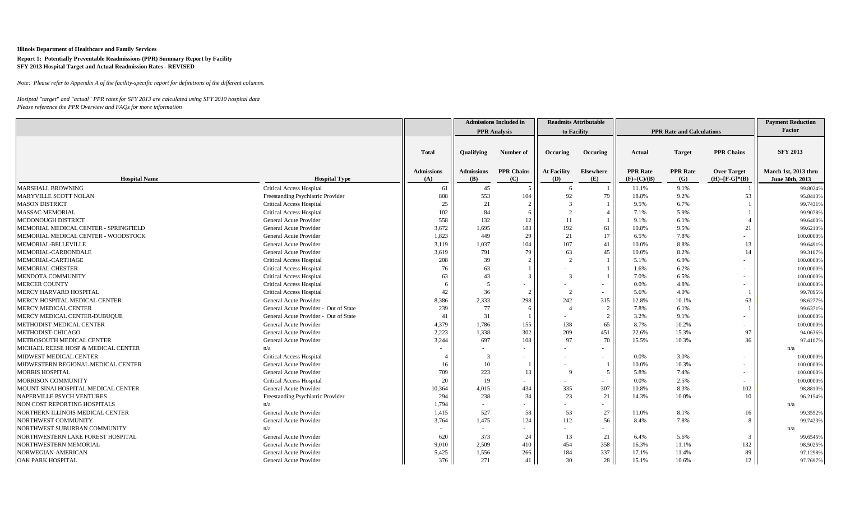*Note: Please refer to Appendix A of the facility-specific report for definitions of the different columns.*

|                                       |                                       |                   |                   | <b>Admissions Included in</b> |                    | <b>Readmits Attributable</b> |                 |                                  |                        | <b>Payment Reduction</b> |
|---------------------------------------|---------------------------------------|-------------------|-------------------|-------------------------------|--------------------|------------------------------|-----------------|----------------------------------|------------------------|--------------------------|
|                                       |                                       |                   |                   | <b>PPR</b> Analysis           | to Facility        |                              |                 | <b>PPR Rate and Calculations</b> |                        | Factor                   |
|                                       |                                       |                   |                   |                               |                    |                              |                 |                                  |                        |                          |
|                                       |                                       | <b>Total</b>      | <b>Qualifying</b> | Number of                     | Occuring           | Occuring                     | Actual          | <b>Target</b>                    | <b>PPR Chains</b>      | <b>SFY 2013</b>          |
|                                       |                                       |                   |                   |                               |                    |                              |                 |                                  |                        |                          |
|                                       |                                       | <b>Admissions</b> | <b>Admissions</b> | <b>PPR Chains</b>             | <b>At Facility</b> | <b>Elsewhere</b>             | <b>PPR</b> Rate | <b>PPR</b> Rate                  | <b>Over Target</b>     | March 1st, 2013 thru     |
| <b>Hospital Name</b>                  | <b>Hospital Type</b>                  | (A)               | (B)               | (C)                           | (D)                | (E)                          | $(F)=(C)/(B)$   | (G)                              | $(H) = [F - G]^{*}(B)$ | June 30th, 2013          |
| <b>MARSHALL BROWNING</b>              | <b>Critical Access Hospital</b>       | -61               | 45                |                               | -6                 |                              | 11.1%           | 9.1%                             |                        | 99.8024%                 |
| MARYVILLE SCOTT NOLAN                 | Freestanding Psychiatric Provider     | 808               | 553               | 104                           | 92                 | 79                           | 18.8%           | 9.2%                             | 53                     | 95.8413%                 |
| <b>MASON DISTRICT</b>                 | <b>Critical Access Hospital</b>       | 25                | 21                |                               |                    |                              | 9.5%            | 6.7%                             |                        | 99.7431%                 |
| <b>MASSAC MEMORIAL</b>                | <b>Critical Access Hospital</b>       | 102               | 84                |                               |                    |                              | 7.1%            | 5.9%                             |                        | 99.9078%                 |
| MCDONOUGH DISTRICT                    | General Acute Provider                | 558               | 132               | 12                            | 11                 |                              | 9.1%            | 6.1%                             |                        | 99.6400%                 |
| MEMORIAL MEDICAL CENTER - SPRINGFIELD | General Acute Provider                | 3,672             | 1,695             | 183                           | 192                | 61                           | 10.8%           | 9.5%                             | 21                     | 99.6210%                 |
| MEMORIAL MEDICAL CENTER - WOODSTOCK   | General Acute Provider                | 1,823             | 449               | 29                            | 21                 | 17                           | 6.5%            | 7.8%                             |                        | 100.0000%                |
| MEMORIAL-BELLEVILLE                   | General Acute Provider                | 3,119             | 1,037             | 104                           | 107                | 41                           | 10.0%           | 8.8%                             | 13                     | 99.6491%                 |
| MEMORIAL-CARBONDALE                   | General Acute Provider                | 3,619             | 791               | 79                            | 63                 | 45                           | 10.0%           | 8.2%                             | 14                     | 99.3107%                 |
| MEMORIAL-CARTHAGE                     | <b>Critical Access Hospital</b>       | 208               | 39                |                               | $\overline{2}$     |                              | 5.1%            | 6.9%                             |                        | 100.0000%                |
| MEMORIAL-CHESTER                      | <b>Critical Access Hospital</b>       | 76                | 63                |                               |                    |                              | 1.6%            | 6.2%                             |                        | 100.0000%                |
| MENDOTA COMMUNITY                     | <b>Critical Access Hospital</b>       | 63                | 43                | $\mathcal{R}$                 | 3                  |                              | 7.0%            | 6.5%                             |                        | 100.0000%                |
| <b>MERCER COUNTY</b>                  | <b>Critical Access Hospital</b>       | 6                 | .5                |                               |                    | $\overline{\phantom{a}}$     | 0.0%            | 4.8%                             |                        | 100.0000%                |
| MERCY HARVARD HOSPITAL                | <b>Critical Access Hospital</b>       | 42                | 36                |                               | $\overline{2}$     | $\sim$                       | 5.6%            | 4.0%                             |                        | 99.7895%                 |
| MERCY HOSPITAL MEDICAL CENTER         | General Acute Provider                | 8,386             | 2,333             | 298                           | 242                | 315                          | 12.8%           | 10.1%                            | 63                     | 98.6277%                 |
| MERCY MEDICAL CENTER                  | General Acute Provider - Out of State | 239               | 77                | -6                            |                    | 2                            | 7.8%            | 6.1%                             |                        | 99.6371%                 |
| MERCY MEDICAL CENTER-DUBUQUE          | General Acute Provider - Out of State | 41                | 31                |                               |                    | $\mathcal{D}$                | 3.2%            | 9.1%                             |                        | 100.0000%                |
| METHODIST MEDICAL CENTER              | General Acute Provider                | 4,379             | 1,786             | 155                           | 138                | 65                           | 8.7%            | 10.2%                            |                        | 100.0000%                |
| METHODIST-CHICAGO                     | General Acute Provider                | 2,223             | 1,338             | 302                           | 209                | 451                          | 22.6%           | 15.3%                            | 97                     | 94.0636%                 |
| METROSOUTH MEDICAL CENTER             | General Acute Provider                | 3,244             | 697               | 108                           | 97                 | 70                           | 15.5%           | 10.3%                            | 36                     | 97.4107%                 |
| MICHAEL REESE HOSP & MEDICAL CENTER   | n/a                                   |                   |                   |                               |                    | $\overline{\phantom{a}}$     |                 |                                  |                        | n/a                      |
| MIDWEST MEDICAL CENTER                | <b>Critical Access Hospital</b>       |                   | $\mathcal{R}$     |                               |                    | $\sim$                       | 0.0%            | 3.0%                             |                        | 100.0000%                |
| MIDWESTERN REGIONAL MEDICAL CENTER    | General Acute Provider                | 16                | 10                |                               |                    |                              | 10.0%           | 10.3%                            |                        | 100.0000%                |
| <b>MORRIS HOSPITAL</b>                | General Acute Provider                | 709               | 223               | 13                            | $\mathbf{Q}$       | -5                           | 5.8%            | 7.4%                             |                        | 100.0000%                |
| <b>MORRISON COMMUNITY</b>             | <b>Critical Access Hospital</b>       | 20                | 19                |                               |                    | $\overline{\phantom{a}}$     | 0.0%            | 2.5%                             |                        | 100.0000%                |
| MOUNT SINAI HOSPITAL MEDICAL CENTER   | General Acute Provider                | 10,364            | 4,015             | 434                           | 335                | 307                          | 10.8%           | 8.3%                             | 102                    | 98.8810%                 |
| NAPERVILLE PSYCH VENTURES             | Freestanding Psychiatric Provider     | 294               | 238               | 34                            | 23                 | 21                           | 14.3%           | 10.0%                            | 10                     | 96.2154%                 |
| NON COST REPORTING HOSPITALS          | n/a                                   | 1,794             |                   |                               |                    | $\overline{\phantom{a}}$     |                 |                                  |                        | n/a                      |
| NORTHERN ILLINOIS MEDICAL CENTER      | General Acute Provider                | 1,415             | 527               | 58                            | 53                 | 27                           | 11.0%           | 8.1%                             | 16                     | 99.3552%                 |
| NORTHWEST COMMUNITY                   | General Acute Provider                | 3,764             | 1,475             | 124                           | 112                | 56                           | 8.4%            | 7.8%                             | 8                      | 99.7423%                 |
| NORTHWEST SUBURBAN COMMUNITY          | n/a                                   |                   |                   |                               |                    | $\overline{\phantom{a}}$     |                 |                                  |                        | n/a                      |
| NORTHWESTERN LAKE FOREST HOSPITAL     | General Acute Provider                | 620               | 373               | 24                            | 13                 | 21                           | 6.4%            | 5.6%                             | 3                      | 99.6545%                 |
| NORTHWESTERN MEMORIAL                 | General Acute Provider                | 9,010             | 2,509             | 410                           | 454                | 358                          | 16.3%           | 11.1%                            | 132                    | 98.5025%                 |
| NORWEGIAN-AMERICAN                    | General Acute Provider                | 5,425             | 1,556             | 266                           | 184                | 337                          | 17.1%           | 11.4%                            | 89                     | 97.1298%                 |
| <b>OAK PARK HOSPITAL</b>              | General Acute Provider                | 376               | 271               | 41                            | 30                 | 28                           | 15.1%           | 10.6%                            | 12                     | 97.7697%                 |
|                                       |                                       |                   |                   |                               |                    |                              |                 |                                  |                        |                          |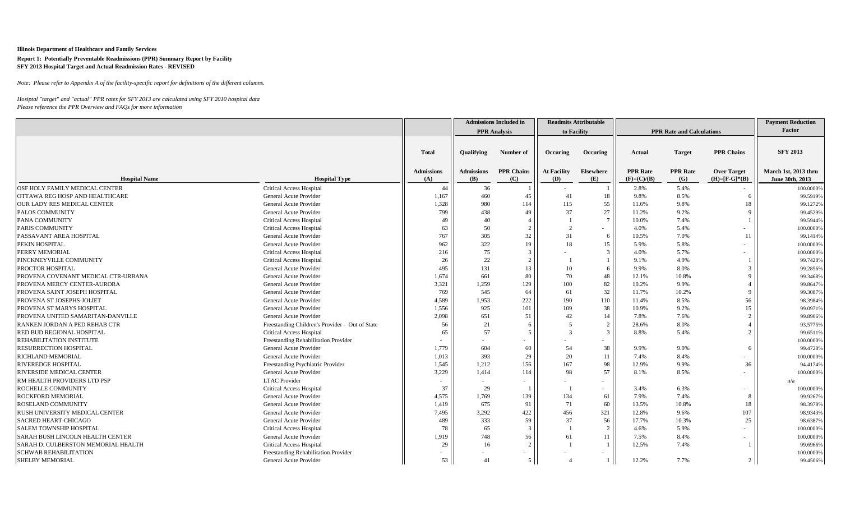*Note: Please refer to Appendix A of the facility-specific report for definitions of the different columns.*

|                                     |                                                                         |                          |                   | <b>Admissions Included in</b> |                           | <b>Readmits Attributable</b>  |                                  |                                  |                                           | <b>Payment Reduction</b> |
|-------------------------------------|-------------------------------------------------------------------------|--------------------------|-------------------|-------------------------------|---------------------------|-------------------------------|----------------------------------|----------------------------------|-------------------------------------------|--------------------------|
|                                     |                                                                         |                          |                   | <b>PPR</b> Analysis           |                           | to Facility                   |                                  | <b>PPR Rate and Calculations</b> |                                           | Factor                   |
|                                     |                                                                         |                          |                   |                               |                           |                               |                                  |                                  |                                           |                          |
|                                     |                                                                         | <b>Total</b>             | <b>Oualifying</b> | Number of                     | Occuring                  | Occuring                      | Actual                           | <b>Target</b>                    | <b>PPR Chains</b>                         | <b>SFY 2013</b>          |
|                                     |                                                                         |                          |                   |                               |                           |                               |                                  |                                  |                                           | March 1st, 2013 thru     |
| <b>Hospital Name</b>                | <b>Hospital Type</b>                                                    | <b>Admissions</b><br>(A) | Admissions<br>(B) | <b>PPR Chains</b><br>(C)      | <b>At Facility</b><br>(D) | <b>Elsewhere</b><br>(E)       | <b>PPR Rate</b><br>$(F)=(C)/(B)$ | <b>PPR</b> Rate<br>(G)           | <b>Over Target</b><br>$(H)= [F-G]^{*}(B)$ | June 30th, 2013          |
| OSF HOLY FAMILY MEDICAL CENTER      | <b>Critical Access Hospital</b>                                         | 44                       | 36                |                               |                           |                               | 2.8%                             | 5.4%                             |                                           | 100.0000%                |
| OTTAWA REG HOSP AND HEALTHCARE      | General Acute Provider                                                  | 1,167                    | 460               | 45                            | 41                        | 18                            | 9.8%                             | 8.5%                             | 6                                         | 99.5919%                 |
| OUR LADY RES MEDICAL CENTER         | General Acute Provider                                                  | 1,328                    | 980               | 114                           | 115                       | 55                            | 11.6%                            | 9.8%                             | 18                                        | 99.1272%                 |
| PALOS COMMUNITY                     | General Acute Provider                                                  | 799                      | 438               | 49                            | 37                        | 27                            | 11.2%                            | 9.2%                             |                                           | 99.4529%                 |
| PANA COMMUNITY                      |                                                                         | 49                       | 40                |                               |                           | $7\overline{ }$               | 10.0%                            | 7.4%                             |                                           | 99.5944%                 |
| PARIS COMMUNITY                     | <b>Critical Access Hospital</b><br><b>Critical Access Hospital</b>      | 63                       | 50                | $\overline{2}$                |                           |                               | 4.0%                             | 5.4%                             |                                           | 100.0000%                |
| PASSAVANT AREA HOSPITAL             | General Acute Provider                                                  | 767                      | 305               | 32                            | 31                        | $\overline{\phantom{0}}$<br>6 | 10.5%                            | 7.0%                             | 11                                        | 99.1414%                 |
| PEKIN HOSPITAL                      | General Acute Provider                                                  | 962                      | 322               | 19                            | 18                        | 15                            | 5.9%                             | 5.8%                             |                                           | 100.0000%                |
| PERRY MEMORIAL                      |                                                                         |                          | 75                | 3                             |                           | $\mathbf{3}$                  | 4.0%                             | 5.7%                             |                                           | 100.0000%                |
| PINCKNEYVILLE COMMUNITY             | <b>Critical Access Hospital</b><br><b>Critical Access Hospital</b>      | 216<br>26                | 22                | $\overline{2}$                |                           |                               | 9.1%                             | 4.9%                             |                                           | 99.7428%                 |
| PROCTOR HOSPITAL                    | General Acute Provider                                                  | 495                      | 131               | 13                            | 10                        | 6                             | 9.9%                             | 8.0%                             | 3                                         | 99.2856%                 |
| PROVENA COVENANT MEDICAL CTR-URBANA | General Acute Provider                                                  | 1,674                    | 661               | 80                            | 70                        | 48                            | 12.1%                            | 10.8%                            | 9                                         | 99.3468%                 |
| PROVENA MERCY CENTER-AURORA         | General Acute Provider                                                  | 3,321                    | 1,259             | 129                           | 100                       | 82                            | 10.2%                            | 9.9%                             |                                           | 99.8647%                 |
| PROVENA SAINT JOSEPH HOSPITAL       | General Acute Provider                                                  | 769                      | 545               | 64                            | 61                        | 32                            | 11.7%                            | 10.2%                            | 9                                         | 99.3087%                 |
| PROVENA ST JOSEPHS-JOLIET           | General Acute Provider                                                  | 4,589                    | 1,953             | 222                           | 190                       | 110                           | 11.4%                            | 8.5%                             | 56                                        | 98.3984%                 |
| PROVENA ST MARYS HOSPITAL           | <b>General Acute Provider</b>                                           | 1,556                    | 925               | 101                           | 109                       | 38                            | 10.9%                            | 9.2%                             | 15                                        | 99.0971%                 |
| PROVENA UNITED SAMARITAN-DANVILLE   | General Acute Provider                                                  | 2,098                    | 651               | 51                            | 42                        | 14                            | 7.8%                             | 7.6%                             | $\overline{2}$                            | 99.8906%                 |
| RANKEN JORDAN A PED REHAB CTR       | Freestanding Children's Provider - Out of State                         | 56                       | 21                |                               |                           | $\overline{2}$                | 28.6%                            | 8.0%                             |                                           | 93.5775%                 |
| RED BUD REGIONAL HOSPITAL           |                                                                         | 65                       | 57                | .5                            |                           | $\overline{3}$                | 8.8%                             | 5.4%                             | $\overline{2}$                            |                          |
| REHABILITATION INSTITUTE            | <b>Critical Access Hospital</b><br>Freestanding Rehabilitation Provider |                          |                   |                               |                           |                               |                                  |                                  |                                           | 99.6511%<br>100.0000%    |
| RESURRECTION HOSPITAL               | General Acute Provider                                                  | 1,779                    | 604               | 60                            | 54                        | 38                            | 9.9%                             | 9.0%                             | 6                                         | 99.4728%                 |
| RICHLAND MEMORIAL                   | General Acute Provider                                                  | 1,013                    | 393               | 29                            | 20                        | 11                            | 7.4%                             | 8.4%                             |                                           | 100.0000%                |
| RIVEREDGE HOSPITAL                  | Freestanding Psychiatric Provider                                       | 1,545                    | 1,212             | 156                           | 167                       | 98                            | 12.9%                            | 9.9%                             | 36                                        | 94.4174%                 |
| RIVERSIDE MEDICAL CENTER            | General Acute Provider                                                  | 3,229                    | 1,414             | 114                           | 98                        | 57                            | 8.1%                             | 8.5%                             |                                           | 100.0000%                |
| RM HEALTH PROVIDERS LTD PSP         | <b>LTAC</b> Provider                                                    |                          |                   |                               |                           |                               |                                  |                                  |                                           | n/a                      |
| ROCHELLE COMMUNITY                  | <b>Critical Access Hospital</b>                                         | 37                       | 29                |                               |                           | $\sim$                        | 3.4%                             | 6.3%                             |                                           | 100.0000%                |
| ROCKFORD MEMORIAL                   | General Acute Provider                                                  | 4,575                    | 1,769             | 139                           | 134                       | 61                            | 7.9%                             | 7.4%                             | 8                                         | 99.9267%                 |
| ROSELAND COMMUNITY                  | General Acute Provider                                                  | 1,419                    | 675               | 91                            | 71                        | 60                            | 13.5%                            | 10.8%                            | 18                                        | 98.3978%                 |
| RUSH UNIVERSITY MEDICAL CENTER      | General Acute Provider                                                  | 7,495                    | 3,292             | 422                           | 456                       | 321                           | 12.8%                            | 9.6%                             | 107                                       | 98.9343%                 |
| <b>SACRED HEART-CHICAGO</b>         | General Acute Provider                                                  | 489                      | 333               | 59                            | 37                        | 56                            | 17.7%                            | 10.3%                            | 25                                        | 98.6387%                 |
| SALEM TOWNSHIP HOSPITAL             | <b>Critical Access Hospital</b>                                         | 78                       | 65                | 3                             |                           | $\overline{2}$                | 4.6%                             | 5.9%                             |                                           | 100.0000%                |
| SARAH BUSH LINCOLN HEALTH CENTER    | General Acute Provider                                                  | 1,919                    | 748               | 56                            | 61                        | 11                            | 7.5%                             | 8.4%                             |                                           | 100.0000%                |
| SARAH D. CULBERSTON MEMORIAL HEALTH | <b>Critical Access Hospital</b>                                         | 29                       | 16                | $\mathcal{D}$                 |                           |                               | 12.5%                            | 7.4%                             |                                           | 99.6966%                 |
| <b>SCHWAB REHABILITATION</b>        | Freestanding Rehabilitation Provider                                    |                          |                   |                               |                           |                               |                                  |                                  |                                           | 100.0000%                |
| <b>SHELBY MEMORIAL</b>              | General Acute Provider                                                  | 53 <sup>1</sup>          | 41                | 5                             |                           | 1 <sup>1</sup>                | 12.2%                            | 7.7%                             | 2 <sub>1</sub>                            | 99.4506%                 |
|                                     |                                                                         |                          |                   |                               |                           |                               |                                  |                                  |                                           |                          |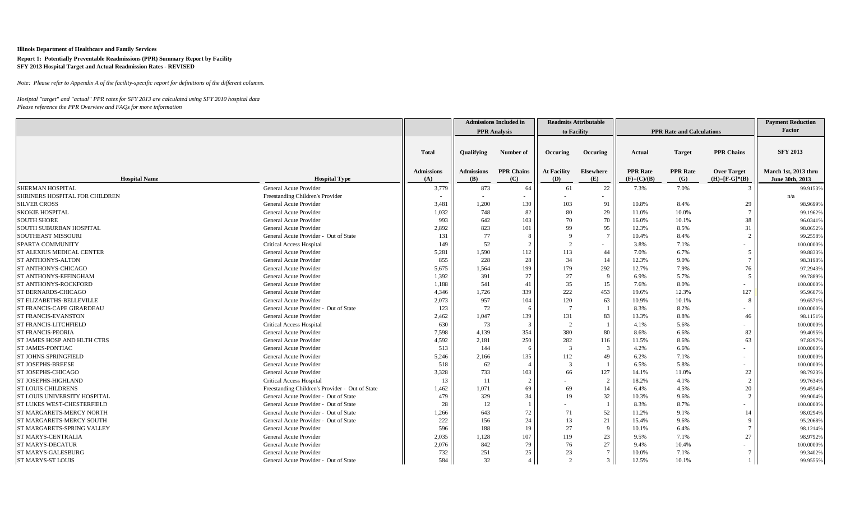*Note: Please refer to Appendix A of the facility-specific report for definitions of the different columns.*

|                                 |                                                 |                   |                   | <b>Admissions Included in</b> |                    | <b>Readmits Attributable</b> |                 |                                  |                             | <b>Payment Reduction</b> |
|---------------------------------|-------------------------------------------------|-------------------|-------------------|-------------------------------|--------------------|------------------------------|-----------------|----------------------------------|-----------------------------|--------------------------|
|                                 |                                                 |                   |                   | <b>PPR</b> Analysis           |                    | to Facility                  |                 | <b>PPR Rate and Calculations</b> |                             | Factor                   |
|                                 |                                                 |                   |                   |                               |                    |                              |                 |                                  |                             |                          |
|                                 |                                                 | <b>Total</b>      | <b>Oualifying</b> | Number of                     | Occuring           | Occuring                     | Actual          | <b>Target</b>                    | <b>PPR Chains</b>           | <b>SFY 2013</b>          |
|                                 |                                                 | <b>Admissions</b> | Admissions        | <b>PPR Chains</b>             | <b>At Facility</b> | <b>Elsewhere</b>             | <b>PPR</b> Rate | <b>PPR</b> Rate                  | <b>Over Target</b>          | March 1st, 2013 thru     |
| <b>Hospital Name</b>            | <b>Hospital Type</b>                            | (A)               | ( <b>B</b> )      | (C)                           | (D)                | (E)                          | $(F)=(C)/(B)$   | (G)                              | $(H) = [F - G]^{*}(B)$      | June 30th, 2013          |
| SHERMAN HOSPITAL                | General Acute Provider                          | 3,779             | 873               | 64                            | 61                 | 22                           | 7.3%            | 7.0%                             | 3                           | 99.9153%                 |
| SHRINERS HOSPITAL FOR CHILDREN  | Freestanding Children's Provider                |                   |                   |                               |                    |                              |                 |                                  |                             | n/a                      |
| <b>SILVER CROSS</b>             | General Acute Provider                          | 3,481             | 1,200             | 130                           | 103                | 91                           | 10.8%           | 8.4%                             | 29                          | 98.9699%                 |
| <b>SKOKIE HOSPITAL</b>          | General Acute Provider                          | 1,032             | 748               | 82                            | 80                 | 29                           | 11.0%           | 10.0%                            |                             | 99.1962%                 |
| <b>SOUTH SHORE</b>              | General Acute Provider                          | 993               | 642               | 103                           | 70                 | 70                           | 16.0%           | 10.1%                            | 38                          | 96.0341%                 |
| SOUTH SUBURBAN HOSPITAL         | General Acute Provider                          | 2,892             | 823               | 101                           | 99                 | 95                           | 12.3%           | 8.5%                             | 31                          | 98.0652%                 |
| <b>SOUTHEAST MISSOURI</b>       | General Acute Provider - Out of State           | 131               | 77                | -8                            | $\mathbf{Q}$       | $7\phantom{.0}$              | 10.4%           | 8.4%                             | $\mathcal{D}_{\mathcal{L}}$ | 99.2558%                 |
| SPARTA COMMUNITY                | <b>Critical Access Hospital</b>                 | 149               | 52                | $\mathcal{D}$                 | $\mathcal{D}$      | $\overline{\phantom{a}}$     | 3.8%            | 7.1%                             |                             | 100.0000%                |
| ST ALEXIUS MEDICAL CENTER       | General Acute Provider                          | 5,281             | 1,590             | 112                           | 113                | 44                           | 7.0%            | 6.7%                             | .5                          | 99.8833%                 |
| ST ANTHONYS-ALTON               | General Acute Provider                          | 855               | 228               | 28                            | 34                 |                              | 12.3%           | 9.0%                             | $\tau$                      | 98.3198%                 |
| ST ANTHONYS-CHICAGO             | General Acute Provider                          | 5,675             | 1,564             | 199                           | 179                | 292                          | 12.7%           | 7.9%                             | 76                          | 97.2943%                 |
| ST ANTHONYS-EFFINGHAM           | General Acute Provider                          | 1,392             | 391               | 27                            | 27                 | $\Omega$                     | 6.9%            | 5.7%                             | $\mathcal{F}$               | 99.7889%                 |
| <b>ST ANTHONYS-ROCKFORD</b>     | General Acute Provider                          | 1,188             | 541               | 41                            | 35                 | 15                           | 7.6%            | 8.0%                             |                             | 100.0000%                |
| ST BERNARDS-CHICAGO             | General Acute Provider                          | 4,346             | 1,726             | 339                           | 222                | 453                          | 19.6%           | 12.3%                            | 127                         | 95.9607%                 |
| <b>ST ELIZABETHS-BELLEVILLE</b> | General Acute Provider                          | 2,073             | 957               | 104                           | 120                | 63                           | 10.9%           | 10.1%                            |                             | 99.6571%                 |
| ST FRANCIS-CAPE GIRARDEAU       | General Acute Provider - Out of State           | 123               | 72                | -6                            | $\overline{7}$     |                              | 8.3%            | 8.2%                             |                             | 100.0000%                |
| ST FRANCIS-EVANSTON             | General Acute Provider                          | 2,462             | 1,047             | 139                           | 131                | 83                           | 13.3%           | 8.8%                             | 46                          | 98.1151%                 |
| ST FRANCIS-LITCHFIELD           | <b>Critical Access Hospital</b>                 | 630               | 73                | $\overline{3}$                | $\overline{2}$     |                              | 4.1%            | 5.6%                             |                             | 100.0000%                |
| <b>ST FRANCIS-PEORIA</b>        | General Acute Provider                          | 7,598             | 4,139             | 354                           | 380                | 80                           | 8.6%            | 6.6%                             | 82                          | 99.4095%                 |
| ST JAMES HOSP AND HLTH CTRS     | General Acute Provider                          | 4,592             | 2,181             | 250                           | 282                | 116                          | 11.5%           | 8.6%                             | 63                          | 97.8297%                 |
| <b>ST JAMES-PONTIAC</b>         | General Acute Provider                          | 513               | 144               | -6                            | 3                  | 3                            | 4.2%            | 6.6%                             |                             | 100.0000%                |
| <b>ST JOHNS-SPRINGFIELD</b>     | General Acute Provider                          | 5,246             | 2,166             | 135                           | 112                | 49                           | 6.2%            | 7.1%                             |                             | 100.0000%                |
| <b>ST JOSEPHS-BREESE</b>        | General Acute Provider                          | 518               | 62                |                               | $\overline{3}$     |                              | 6.5%            | 5.8%                             |                             | 100.0000%                |
| ST JOSEPHS-CHICAGO              | General Acute Provider                          | 3,328             | 733               | 103                           | 66                 | 127                          | 14.1%           | 11.0%                            | 22                          | 98.7923%                 |
| ST JOSEPHS-HIGHLAND             | <b>Critical Access Hospital</b>                 | 13                | 11                | 2                             |                    |                              | 18.2%           | 4.1%                             | $\overline{2}$              | 99.7634%                 |
| <b>ST LOUIS CHILDRENS</b>       | Freestanding Children's Provider - Out of State | 1,462             | 1,071             | 69                            | 69                 | 14                           | 6.4%            | 4.5%                             | 20                          | 99.4594%                 |
| ST LOUIS UNIVERSITY HOSPITAL    | General Acute Provider - Out of State           | 479               | 329               | 34                            | 19                 | 32                           | 10.3%           | 9.6%                             | $\mathfrak{D}$              | 99.9004%                 |
| ST LUKES WEST-CHESTERFIELD      | General Acute Provider - Out of State           | 28                | 12                |                               |                    |                              | 8.3%            | 8.7%                             |                             | 100.0000%                |
| ST MARGARETS-MERCY NORTH        | General Acute Provider - Out of State           | 1,266             | 643               | 72                            | 71                 | 52                           | 11.2%           | 9.1%                             | 14                          | 98.0294%                 |
| <b>ST MARGARETS-MERCY SOUTH</b> | General Acute Provider - Out of State           | 222               | 156               | 24                            | 13                 | 21                           | 15.4%           | 9.6%                             | $\mathbf{Q}$                | 95.2068%                 |
| ST MARGARETS-SPRING VALLEY      | <b>General Acute Provider</b>                   | 596               | 188               | 19                            | 27                 | $\mathbf{Q}$                 | 10.1%           | 6.4%                             |                             | 98.1214%                 |
| ST MARYS-CENTRALIA              | General Acute Provider                          | 2,035             | 1,128             | 107                           | 119                | 23                           | 9.5%            | 7.1%                             | 27                          | 98.9792%                 |
| <b>ST MARYS-DECATUR</b>         | General Acute Provider                          | 2,076             | 842               | 79                            | 76                 | 27                           | 9.4%            | 10.4%                            |                             | 100.0000%                |
| ST MARYS-GALESBURG              | General Acute Provider                          | 732               | 251               | 25                            | 23                 |                              | 10.0%           | 7.1%                             |                             | 99.3402%                 |
| <b>ST MARYS-ST LOUIS</b>        | General Acute Provider - Out of State           | 584               | 32                | $\Delta$                      | $\mathcal{D}$      | $\overline{3}$               | 12.5%           | 10.1%                            |                             | 99.9555%                 |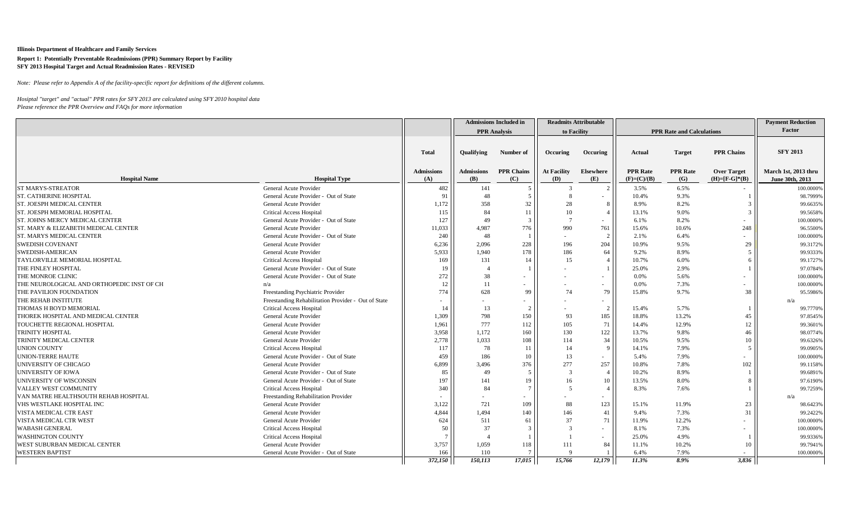*Note: Please refer to Appendix A of the facility-specific report for definitions of the different columns.*

|                                                |                                                     |                   |                   | <b>Admissions Included in</b> |                    | <b>Readmits Attributable</b> |                 |                                  |                     | <b>Payment Reduction</b> |
|------------------------------------------------|-----------------------------------------------------|-------------------|-------------------|-------------------------------|--------------------|------------------------------|-----------------|----------------------------------|---------------------|--------------------------|
|                                                |                                                     |                   |                   | <b>PPR</b> Analysis           |                    | to Facility                  |                 | <b>PPR Rate and Calculations</b> |                     | Factor                   |
|                                                |                                                     | <b>Total</b>      | <b>Qualifying</b> | Number of                     | Occuring           | Occuring                     | Actual          | <b>Target</b>                    | <b>PPR Chains</b>   | <b>SFY 2013</b>          |
|                                                |                                                     | <b>Admissions</b> | <b>Admissions</b> | <b>PPR Chains</b>             | <b>At Facility</b> | Elsewhere                    | <b>PPR</b> Rate | <b>PPR</b> Rate                  | <b>Over Target</b>  | March 1st, 2013 thru     |
| <b>Hospital Name</b>                           | <b>Hospital Type</b>                                | (A)               | <b>(B)</b>        | (C)                           | (D)                | (E)                          | $(F)=(C)/(B)$   | (G)                              | $(H)= [F-G]^{*}(B)$ | June 30th, 2013          |
| <b>ST MARYS-STREATOR</b>                       | General Acute Provider                              | 482               | 141               |                               | -3                 | $\mathcal{D}$                | 3.5%            | 6.5%                             |                     | 100.0000%                |
| <b>ST. CATHERINE HOSPITAL</b>                  | General Acute Provider - Out of State               | 91                | 48                |                               |                    |                              | 10.4%           | 9.3%                             |                     | 98.7999%                 |
| <b>ST. JOESPH MEDICAL CENTER</b>               | General Acute Provider                              | 1,172             | 358               | 32                            | 28                 | 8                            | 8.9%            | 8.2%                             |                     | 99.6635%                 |
| ST. JOESPH MEMORIAL HOSPITAL                   | <b>Critical Access Hospital</b>                     | 115               | 84                | 11                            | 10                 |                              | 13.1%           | 9.0%                             | $\overline{3}$      | 99.5658%                 |
| ST. JOHNS MERCY MEDICAL CENTER                 | General Acute Provider - Out of State               | 127               | 49                | $\mathcal{R}$                 | $\overline{7}$     | $\sim$                       | 6.1%            | 8.2%                             |                     | 100.0000%                |
| <b>ST. MARY &amp; ELIZABETH MEDICAL CENTER</b> | General Acute Provider                              | 11,033            | 4.987             | 776                           | 990                | 761                          | 15.6%           | 10.6%                            | 248                 | 96.5500%                 |
| <b>ST. MARYS MEDICAL CENTER</b>                | General Acute Provider - Out of State               | 240               | 48                |                               | $\sim$             | $\overline{2}$               | 2.1%            | 6.4%                             |                     | 100.0000%                |
| <b>SWEDISH COVENANT</b>                        | General Acute Provider                              | 6,236             | 2,096             | 228                           | 196                | 204                          | 10.9%           | 9.5%                             | 29                  | 99.3172%                 |
| SWEDISH-AMERICAN                               | General Acute Provider                              | 5,933             | 1,940             | 178                           | 186                | 64                           | 9.2%            | 8.9%                             | 5 <sup>1</sup>      | 99.9333%                 |
| TAYLORVILLE MEMORIAL HOSPITAL                  | <b>Critical Access Hospital</b>                     | 169               | 131               | 14                            | 15                 |                              | 10.7%           | 6.0%                             | 6                   | 99.1727%                 |
| THE FINLEY HOSPITAL                            | General Acute Provider - Out of State               | 19                |                   |                               |                    |                              | 25.0%           | 2.9%                             |                     | 97.0784%                 |
| THE MONROE CLINIC                              | General Acute Provider - Out of State               | 272               | 38                |                               |                    | $\sim$                       | 0.0%            | 5.6%                             |                     | 100.0000%                |
| THE NEUROLOGICAL AND ORTHOPEDIC INST OF CH     | n/a                                                 | 12                | 11                |                               |                    | $\sim$                       | 0.0%            | 7.3%                             |                     | 100.0000%                |
| THE PAVILION FOUNDATION                        | Freestanding Psychiatric Provider                   | 774               | 628               | 99                            | 74                 | 79                           | 15.8%           | 9.7%                             | 38                  | 95.5986%                 |
| THE REHAB INSTITUTE                            | Freestanding Rehabilitation Provider - Out of State |                   |                   |                               |                    | $\sim$                       |                 |                                  |                     | n/a                      |
| <b>THOMAS H BOYD MEMORIAL</b>                  | <b>Critical Access Hospital</b>                     | 14                | 13                |                               |                    | 2                            | 15.4%           | 5.7%                             |                     | 99.7770%                 |
| THOREK HOSPITAL AND MEDICAL CENTER             | General Acute Provider                              | 1,309             | 798               | 150                           | 93                 | 185                          | 18.8%           | 13.2%                            | 45                  | 97.8545%                 |
| TOUCHETTE REGIONAL HOSPITAL                    | General Acute Provider                              | 1,961             | 777               | 112                           | 105                | 71                           | 14.4%           | 12.9%                            | 12                  | 99.3601%                 |
| <b>TRINITY HOSPITAL</b>                        | General Acute Provider                              | 3,958             | 1,172             | 160                           | 130                | 122                          | 13.7%           | 9.8%                             | 46                  | 98.0774%                 |
| TRINITY MEDICAL CENTER                         | General Acute Provider                              | 2,778             | 1,033             | 108                           | 114                | 34                           | 10.5%           | 9.5%                             | 10                  | 99.6326%                 |
| <b>UNION COUNTY</b>                            | <b>Critical Access Hospital</b>                     | 117               | 78                | 11                            | 14                 | $\mathbf{Q}$                 | 14.1%           | 7.9%                             | 5 <sup>1</sup>      | 99.0905%                 |
| <b>UNION-TERRE HAUTE</b>                       | General Acute Provider - Out of State               | 459               | 186               | 10                            | 13                 | $\sim$                       | 5.4%            | 7.9%                             |                     | 100.0000%                |
| UNIVERSITY OF CHICAGO                          | General Acute Provider                              | 6,899             | 3,496             | 376                           | 277                | 257                          | 10.8%           | 7.8%                             | 102                 | 99.1158%                 |
| <b>UNIVERSITY OF IOWA</b>                      | General Acute Provider - Out of State               | 85                | 49                | $\overline{\phantom{0}}$      | $\mathcal{R}$      | $\overline{4}$               | 10.2%           | 8.9%                             |                     | 99.6891%                 |
| UNIVERSITY OF WISCONSIN                        | General Acute Provider - Out of State               | 197               | 141               | 19                            | 16                 | 10                           | 13.5%           | 8.0%                             | 8                   | 97.6190%                 |
| VALLEY WEST COMMUNITY                          | <b>Critical Access Hospital</b>                     | 340               | 84                | $\overline{7}$                | -5                 | $\overline{4}$               | 8.3%            | 7.6%                             |                     | 99.7259%                 |
| VAN MATRE HEALTHSOUTH REHAB HOSPITAL           | Freestanding Rehabilitation Provider                |                   |                   |                               |                    | $\overline{\phantom{a}}$     |                 |                                  |                     | n/a                      |
| VHS WESTLAKE HOSPITAL INC                      | General Acute Provider                              | 3,122             | 721               | 109                           | 88                 | 123                          | 15.1%           | 11.9%                            | 23                  | 98.6423%                 |
| VISTA MEDICAL CTR EAST                         | General Acute Provider                              | 4,844             | 1,494             | 140                           | 146                | 41                           | 9.4%            | 7.3%                             | 31                  | 99.2422%                 |
| <b>VISTA MEDICAL CTR WEST</b>                  | General Acute Provider                              | 624               | 511               | 61                            | 37                 | 71                           | 11.9%           | 12.2%                            |                     | 100.0000%                |
| <b>WABASH GENERAL</b>                          | <b>Critical Access Hospital</b>                     | 50                | 37                |                               |                    | $\overline{\phantom{a}}$     | 8.1%            | 7.3%                             |                     | 100.0000%                |
| <b>WASHINGTON COUNTY</b>                       | <b>Critical Access Hospital</b>                     | $\tau$            |                   |                               |                    |                              | 25.0%           | 4.9%                             |                     | 99.9336%                 |
| WEST SUBURBAN MEDICAL CENTER                   | General Acute Provider                              | 3,757             | 1,059             | 118                           | 111                | 84                           | 11.1%           | 10.2%                            | 10                  | 99.7941%                 |
| <b>WESTERN BAPTIST</b>                         | General Acute Provider - Out of State               | 166               | 110               |                               |                    |                              | 6.4%            | 7.9%                             |                     | 100.0000%                |
|                                                |                                                     | 372,150           | 150,113           | 17,015                        | 15,766             | 12,179                       | 11.3%           | 8.9%                             | 3,836               |                          |